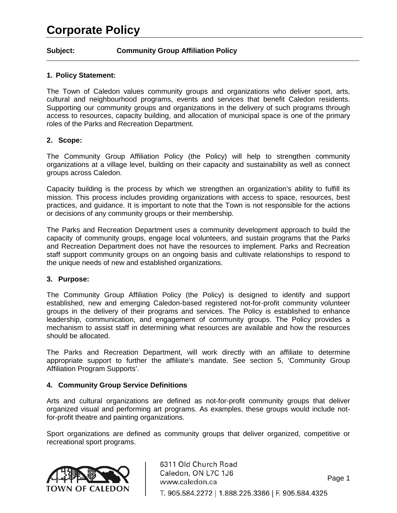#### **Subject: Community Group Affiliation Policy**

#### **1. Policy Statement:**

The Town of Caledon values community groups and organizations who deliver sport, arts, cultural and neighbourhood programs, events and services that benefit Caledon residents. Supporting our community groups and organizations in the delivery of such programs through access to resources, capacity building, and allocation of municipal space is one of the primary roles of the Parks and Recreation Department.

#### **2. Scope:**

The Community Group Affiliation Policy (the Policy) will help to strengthen community organizations at a village level, building on their capacity and sustainability as well as connect groups across Caledon.

Capacity building is the process by which we strengthen an organization's ability to fulfill its mission. This process includes providing organizations with access to space, resources, best practices, and guidance. It is important to note that the Town is not responsible for the actions or decisions of any community groups or their membership.

The Parks and Recreation Department uses a community development approach to build the capacity of community groups, engage local volunteers, and sustain programs that the Parks and Recreation Department does not have the resources to implement. Parks and Recreation staff support community groups on an ongoing basis and cultivate relationships to respond to the unique needs of new and established organizations.

#### **3. Purpose:**

The Community Group Affiliation Policy (the Policy) is designed to identify and support established, new and emerging Caledon-based registered not-for-profit community volunteer groups in the delivery of their programs and services. The Policy is established to enhance leadership, communication, and engagement of community groups. The Policy provides a mechanism to assist staff in determining what resources are available and how the resources should be allocated.

The Parks and Recreation Department, will work directly with an affiliate to determine appropriate support to further the affiliate's mandate. See section 5, 'Community Group Affiliation Program Supports'.

#### **4. Community Group Service Definitions**

Arts and cultural organizations are defined as not-for-profit community groups that deliver organized visual and performing art programs. As examples, these groups would include notfor-profit theatre and painting organizations.

Sport organizations are defined as community groups that deliver organized, competitive or recreational sport programs.

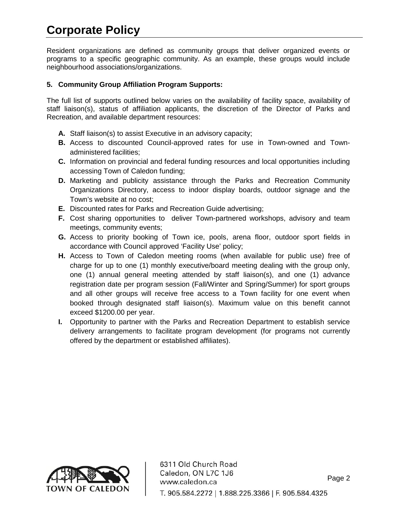Resident organizations are defined as community groups that deliver organized events or programs to a specific geographic community. As an example, these groups would include neighbourhood associations/organizations.

### **5. Community Group Affiliation Program Supports:**

The full list of supports outlined below varies on the availability of facility space, availability of staff liaison(s), status of affiliation applicants, the discretion of the Director of Parks and Recreation, and available department resources:

- **A.** Staff liaison(s) to assist Executive in an advisory capacity;
- **B.** Access to discounted Council-approved rates for use in Town-owned and Townadministered facilities;
- **C.** Information on provincial and federal funding resources and local opportunities including accessing Town of Caledon funding;
- **D.** Marketing and publicity assistance through the Parks and Recreation Community Organizations Directory, access to indoor display boards, outdoor signage and the Town's website at no cost;
- **E.** Discounted rates for Parks and Recreation Guide advertising;
- **F.** Cost sharing opportunities to deliver Town-partnered workshops, advisory and team meetings, community events;
- **G.** Access to priority booking of Town ice, pools, arena floor, outdoor sport fields in accordance with Council approved 'Facility Use' policy;
- **H.** Access to Town of Caledon meeting rooms (when available for public use) free of charge for up to one (1) monthly executive/board meeting dealing with the group only, one (1) annual general meeting attended by staff liaison(s), and one (1) advance registration date per program session (Fall/Winter and Spring/Summer) for sport groups and all other groups will receive free access to a Town facility for one event when booked through designated staff liaison(s). Maximum value on this benefit cannot exceed \$1200.00 per year.
- **I.** Opportunity to partner with the Parks and Recreation Department to establish service delivery arrangements to facilitate program development (for programs not currently offered by the department or established affiliates).

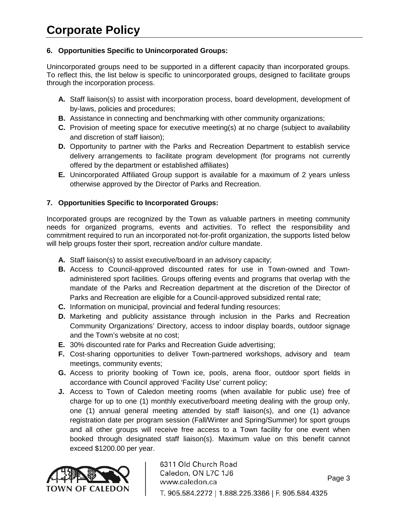## **6. Opportunities Specific to Unincorporated Groups:**

Unincorporated groups need to be supported in a different capacity than incorporated groups. To reflect this, the list below is specific to unincorporated groups, designed to facilitate groups through the incorporation process.

- **A.** Staff liaison(s) to assist with incorporation process, board development, development of by-laws, policies and procedures;
- **B.** Assistance in connecting and benchmarking with other community organizations;
- **C.** Provision of meeting space for executive meeting(s) at no charge (subject to availability and discretion of staff liaison);
- **D.** Opportunity to partner with the Parks and Recreation Department to establish service delivery arrangements to facilitate program development (for programs not currently offered by the department or established affiliates)
- **E.** Unincorporated Affiliated Group support is available for a maximum of 2 years unless otherwise approved by the Director of Parks and Recreation.

## **7. Opportunities Specific to Incorporated Groups:**

Incorporated groups are recognized by the Town as valuable partners in meeting community needs for organized programs, events and activities. To reflect the responsibility and commitment required to run an incorporated not-for-profit organization, the supports listed below will help groups foster their sport, recreation and/or culture mandate.

- **A.** Staff liaison(s) to assist executive/board in an advisory capacity;
- **B.** Access to Council-approved discounted rates for use in Town-owned and Townadministered sport facilities. Groups offering events and programs that overlap with the mandate of the Parks and Recreation department at the discretion of the Director of Parks and Recreation are eligible for a Council-approved subsidized rental rate;
- **C.** Information on municipal, provincial and federal funding resources;
- **D.** Marketing and publicity assistance through inclusion in the Parks and Recreation Community Organizations' Directory, access to indoor display boards, outdoor signage and the Town's website at no cost;
- **E.** 30% discounted rate for Parks and Recreation Guide advertising;
- **F.** Cost-sharing opportunities to deliver Town-partnered workshops, advisory and team meetings, community events;
- **G.** Access to priority booking of Town ice, pools, arena floor, outdoor sport fields in accordance with Council approved 'Facility Use' current policy;
- **J.** Access to Town of Caledon meeting rooms (when available for public use) free of charge for up to one (1) monthly executive/board meeting dealing with the group only, one (1) annual general meeting attended by staff liaison(s), and one (1) advance registration date per program session (Fall/Winter and Spring/Summer) for sport groups and all other groups will receive free access to a Town facility for one event when booked through designated staff liaison(s). Maximum value on this benefit cannot exceed \$1200.00 per year.

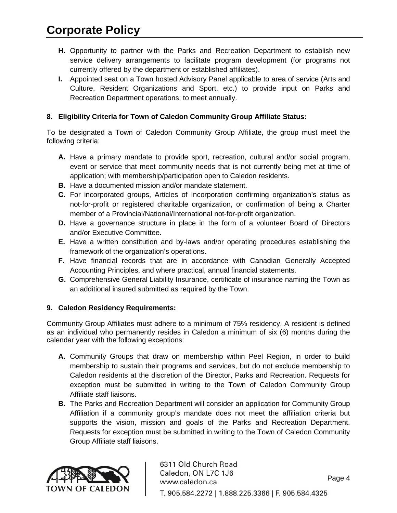- **H.** Opportunity to partner with the Parks and Recreation Department to establish new service delivery arrangements to facilitate program development (for programs not currently offered by the department or established affiliates).
- **I.** Appointed seat on a Town hosted Advisory Panel applicable to area of service (Arts and Culture, Resident Organizations and Sport. etc.) to provide input on Parks and Recreation Department operations; to meet annually.

## **8. Eligibility Criteria for Town of Caledon Community Group Affiliate Status:**

To be designated a Town of Caledon Community Group Affiliate, the group must meet the following criteria:

- **A.** Have a primary mandate to provide sport, recreation, cultural and/or social program, event or service that meet community needs that is not currently being met at time of application; with membership/participation open to Caledon residents.
- **B.** Have a documented mission and/or mandate statement.
- **C.** For incorporated groups, Articles of Incorporation confirming organization's status as not-for-profit or registered charitable organization, or confirmation of being a Charter member of a Provincial/National/International not-for-profit organization.
- **D.** Have a governance structure in place in the form of a volunteer Board of Directors and/or Executive Committee.
- **E.** Have a written constitution and by-laws and/or operating procedures establishing the framework of the organization's operations.
- **F.** Have financial records that are in accordance with Canadian Generally Accepted Accounting Principles, and where practical, annual financial statements.
- **G.** Comprehensive General Liability Insurance, certificate of insurance naming the Town as an additional insured submitted as required by the Town.

### **9. Caledon Residency Requirements:**

Community Group Affiliates must adhere to a minimum of 75% residency. A resident is defined as an individual who permanently resides in Caledon a minimum of six (6) months during the calendar year with the following exceptions:

- **A.** Community Groups that draw on membership within Peel Region, in order to build membership to sustain their programs and services, but do not exclude membership to Caledon residents at the discretion of the Director, Parks and Recreation. Requests for exception must be submitted in writing to the Town of Caledon Community Group Affiliate staff liaisons.
- **B.** The Parks and Recreation Department will consider an application for Community Group Affiliation if a community group's mandate does not meet the affiliation criteria but supports the vision, mission and goals of the Parks and Recreation Department. Requests for exception must be submitted in writing to the Town of Caledon Community Group Affiliate staff liaisons.

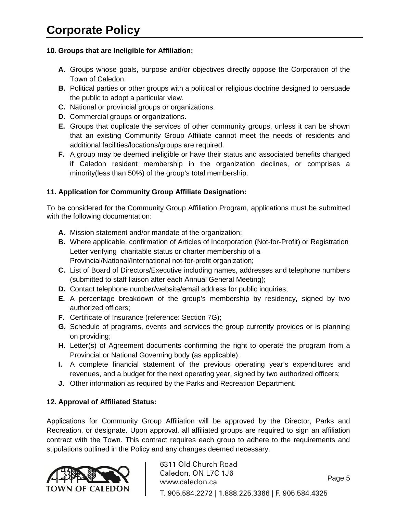## **10. Groups that are Ineligible for Affiliation:**

- **A.** Groups whose goals, purpose and/or objectives directly oppose the Corporation of the Town of Caledon.
- **B.** Political parties or other groups with a political or religious doctrine designed to persuade the public to adopt a particular view.
- **C.** National or provincial groups or organizations.
- **D.** Commercial groups or organizations.
- **E.** Groups that duplicate the services of other community groups, unless it can be shown that an existing Community Group Affiliate cannot meet the needs of residents and additional facilities/locations/groups are required.
- **F.** A group may be deemed ineligible or have their status and associated benefits changed if Caledon resident membership in the organization declines, or comprises a minority(less than 50%) of the group's total membership.

## **11. Application for Community Group Affiliate Designation:**

To be considered for the Community Group Affiliation Program, applications must be submitted with the following documentation:

- **A.** Mission statement and/or mandate of the organization;
- **B.** Where applicable, confirmation of Articles of Incorporation (Not-for-Profit) or Registration Letter verifying charitable status or charter membership of a Provincial/National/International not-for-profit organization;
- **C.** List of Board of Directors/Executive including names, addresses and telephone numbers (submitted to staff liaison after each Annual General Meeting);
- **D.** Contact telephone number/website/email address for public inquiries;
- **E.** A percentage breakdown of the group's membership by residency, signed by two authorized officers;
- **F.** Certificate of Insurance (reference: Section 7G);
- **G.** Schedule of programs, events and services the group currently provides or is planning on providing;
- **H.** Letter(s) of Agreement documents confirming the right to operate the program from a Provincial or National Governing body (as applicable);
- **I.** A complete financial statement of the previous operating year's expenditures and revenues, and a budget for the next operating year, signed by two authorized officers;
- **J.** Other information as required by the Parks and Recreation Department.

## **12. Approval of Affiliated Status:**

Applications for Community Group Affiliation will be approved by the Director, Parks and Recreation, or designate. Upon approval, all affiliated groups are required to sign an affiliation contract with the Town. This contract requires each group to adhere to the requirements and stipulations outlined in the Policy and any changes deemed necessary.

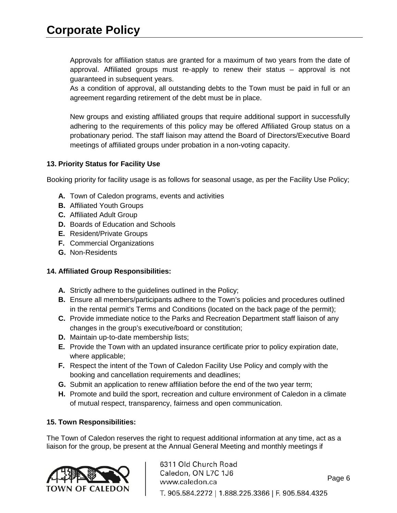Approvals for affiliation status are granted for a maximum of two years from the date of approval. Affiliated groups must re-apply to renew their status – approval is not guaranteed in subsequent years.

As a condition of approval, all outstanding debts to the Town must be paid in full or an agreement regarding retirement of the debt must be in place.

New groups and existing affiliated groups that require additional support in successfully adhering to the requirements of this policy may be offered Affiliated Group status on a probationary period. The staff liaison may attend the Board of Directors/Executive Board meetings of affiliated groups under probation in a non-voting capacity.

### **13. Priority Status for Facility Use**

Booking priority for facility usage is as follows for seasonal usage, as per the Facility Use Policy;

- **A.** Town of Caledon programs, events and activities
- **B.** Affiliated Youth Groups
- **C.** Affiliated Adult Group
- **D.** Boards of Education and Schools
- **E.** Resident/Private Groups
- **F.** Commercial Organizations
- **G.** Non-Residents

#### **14. Affiliated Group Responsibilities:**

- **A.** Strictly adhere to the guidelines outlined in the Policy;
- **B.** Ensure all members/participants adhere to the Town's policies and procedures outlined in the rental permit's Terms and Conditions (located on the back page of the permit);
- **C.** Provide immediate notice to the Parks and Recreation Department staff liaison of any changes in the group's executive/board or constitution;
- **D.** Maintain up-to-date membership lists;
- **E.** Provide the Town with an updated insurance certificate prior to policy expiration date, where applicable;
- **F.** Respect the intent of the Town of Caledon Facility Use Policy and comply with the booking and cancellation requirements and deadlines;
- **G.** Submit an application to renew affiliation before the end of the two year term;
- **H.** Promote and build the sport, recreation and culture environment of Caledon in a climate of mutual respect, transparency, fairness and open communication.

#### **15. Town Responsibilities:**

The Town of Caledon reserves the right to request additional information at any time, act as a liaison for the group, be present at the Annual General Meeting and monthly meetings if